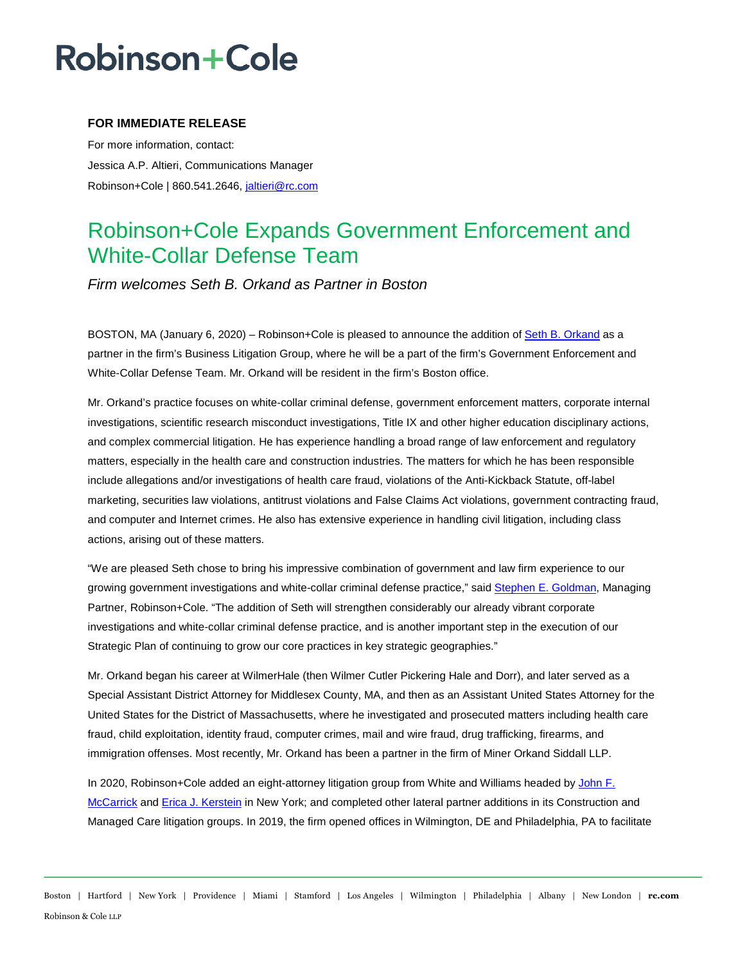## **Robinson+Cole**

### **FOR IMMEDIATE RELEASE**

For more information, contact: Jessica A.P. Altieri, Communications Manager Robinson+Cole | 860.541.2646, [jaltieri@rc.com](mailto:jaltieri@rc.com)

### Robinson+Cole Expands Government Enforcement and White-Collar Defense Team

*Firm welcomes Seth B. Orkand as Partner in Boston* 

BOSTON, MA (January 6, 2020) – Robinson+Cole is pleased to announce the addition of [Seth B. Orkand](http://www.rc.com/people/SethOrkand.cfm#overview) as a partner in the firm's Business Litigation Group, where he will be a part of the firm's Government Enforcement and White-Collar Defense Team. Mr. Orkand will be resident in the firm's Boston office.

Mr. Orkand's practice focuses on white-collar criminal defense, government enforcement matters, corporate internal investigations, scientific research misconduct investigations, Title IX and other higher education disciplinary actions, and complex commercial litigation. He has experience handling a broad range of law enforcement and regulatory matters, especially in the health care and construction industries. The matters for which he has been responsible include allegations and/or investigations of health care fraud, violations of the Anti-Kickback Statute, off-label marketing, securities law violations, antitrust violations and False Claims Act violations, government contracting fraud, and computer and Internet crimes. He also has extensive experience in handling civil litigation, including class actions, arising out of these matters.

"We are pleased Seth chose to bring his impressive combination of government and law firm experience to our growing government investigations and white-collar criminal defense practice," sai[d Stephen E. Goldman,](http://www.rc.com/people/StephenEGoldman.cfm) Managing Partner, Robinson+Cole. "The addition of Seth will strengthen considerably our already vibrant corporate investigations and white-collar criminal defense practice, and is another important step in the execution of our Strategic Plan of continuing to grow our core practices in key strategic geographies."

Mr. Orkand began his career at WilmerHale (then Wilmer Cutler Pickering Hale and Dorr), and later served as a Special Assistant District Attorney for Middlesex County, MA, and then as an Assistant United States Attorney for the United States for the District of Massachusetts, where he investigated and prosecuted matters including health care fraud, child exploitation, identity fraud, computer crimes, mail and wire fraud, drug trafficking, firearms, and immigration offenses. Most recently, Mr. Orkand has been a partner in the firm of Miner Orkand Siddall LLP.

In 2020, Robinson+Cole added an eight-attorney litigation group from White and Williams headed by John F. [McCarrick](http://www.rc.com/people/JohnMcCarrick.cfm) an[d Erica J. Kerstein](http://www.rc.com/people/EricaKerstein.cfm) in New York; and completed other lateral partner additions in its Construction and Managed Care litigation groups. In 2019, the firm opened offices in Wilmington, DE and Philadelphia, PA to facilitate

Boston | Hartford | New York | Providence | Miami | Stamford | Los Angeles | Wilmington | Philadelphia | Albany | New London | **rc.com** Robinson & Cole LLP